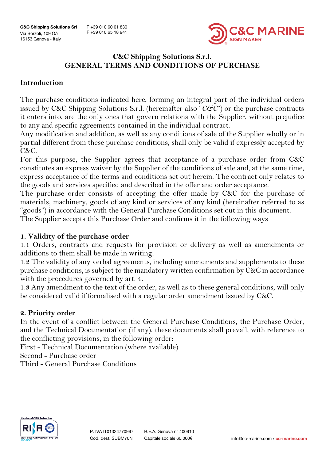T +39 010 60 01 830 F +39 010 65 18 941



# **C&C Shipping Solutions S.r.l. GENERAL TERMS AND CONDITIONS OF PURCHASE**

## **Introduction**

The purchase conditions indicated here, forming an integral part of the individual orders issued by C&C Shipping Solutions S.r.l. (hereinafter also "*C&C*") or the purchase contracts it enters into, are the only ones that govern relations with the Supplier, without prejudice to any and specific agreements contained in the individual contract.

Any modification and addition, as well as any conditions of sale of the Supplier wholly or in partial different from these purchase conditions, shall only be valid if expressly accepted by C&C.

For this purpose, the Supplier agrees that acceptance of a purchase order from C&C constitutes an express waiver by the Supplier of the conditions of sale and, at the same time, express acceptance of the terms and conditions set out herein. The contract only relates to the goods and services specified and described in the offer and order acceptance.

The purchase order consists of accepting the offer made by C&C for the purchase of materials, machinery, goods of any kind or services of any kind (hereinafter referred to as "goods") in accordance with the General Purchase Conditions set out in this document. The Supplier accepts this Purchase Order and confirms it in the following ways

### **1. Validity of the purchase order**

1.1 Orders, contracts and requests for provision or delivery as well as amendments or additions to them shall be made in writing.

1.2 The validity of any verbal agreements, including amendments and supplements to these purchase conditions, is subject to the mandatory written confirmation by C&C in accordance with the procedures governed by art. 4.

1.3 Any amendment to the text of the order, as well as to these general conditions, will only be considered valid if formalised with a regular order amendment issued by C&C.

### **2. Priority order**

In the event of a conflict between the General Purchase Conditions, the Purchase Order, and the Technical Documentation (if any), these documents shall prevail, with reference to the conflicting provisions, in the following order:

First - Technical Documentation (where available)

Second - Purchase order

Third - General Purchase Conditions

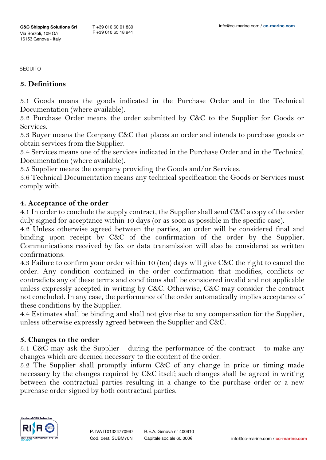### **3. Definitions**

3.1 Goods means the goods indicated in the Purchase Order and in the Technical Documentation (where available).

3.2 Purchase Order means the order submitted by C&C to the Supplier for Goods or Services.

3.3 Buyer means the Company C&C that places an order and intends to purchase goods or obtain services from the Supplier.

3.4 Services means one of the services indicated in the Purchase Order and in the Technical Documentation (where available).

3.5 Supplier means the company providing the Goods and/or Services.

3.6 Technical Documentation means any technical specification the Goods or Services must comply with.

### **4. Acceptance of the order**

4.1 In order to conclude the supply contract, the Supplier shall send C&C a copy of the order duly signed for acceptance within 10 days (or as soon as possible in the specific case).

4.2 Unless otherwise agreed between the parties, an order will be considered final and binding upon receipt by C&C of the confirmation of the order by the Supplier. Communications received by fax or data transmission will also be considered as written confirmations.

4.3 Failure to confirm your order within 10 (ten) days will give C&C the right to cancel the order. Any condition contained in the order confirmation that modifies, conflicts or contradicts any of these terms and conditions shall be considered invalid and not applicable unless expressly accepted in writing by C&C. Otherwise, C&C may consider the contract not concluded. In any case, the performance of the order automatically implies acceptance of these conditions by the Supplier.

4.4 Estimates shall be binding and shall not give rise to any compensation for the Supplier, unless otherwise expressly agreed between the Supplier and C&C.

### **5. Changes to the order**

5.1 C&C may ask the Supplier - during the performance of the contract - to make any changes which are deemed necessary to the content of the order.

5.2 The Supplier shall promptly inform C&C of any change in price or timing made necessary by the changes required by C&C itself; such changes shall be agreed in writing between the contractual parties resulting in a change to the purchase order or a new purchase order signed by both contractual parties.

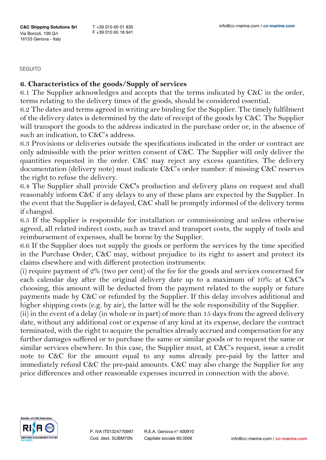### **6. Characteristics of the goods/Supply of services**

6.1 The Supplier acknowledges and accepts that the terms indicated by C&C in the order, terms relating to the delivery times of the goods, should be considered essential.

6.2 The dates and terms agreed in writing are binding for the Supplier. The timely fulfilment of the delivery dates is determined by the date of receipt of the goods by C&C. The Supplier will transport the goods to the address indicated in the purchase order or, in the absence of such an indication, to C&C's address.

6.3 Provisions or deliveries outside the specifications indicated in the order or contract are only admissible with the prior written consent of C&C. The Supplier will only deliver the quantities requested in the order. C&C may reject any excess quantities. The delivery documentation (delivery note) must indicate C&C's order number: if missing C&C reserves the right to refuse the delivery.

6.4 The Supplier shall provide C&C's production and delivery plans on request and shall reasonably inform C&C if any delays to any of these plans are expected by the Supplier. In the event that the Supplier is delayed, C&C shall be promptly informed of the delivery terms if changed.

6.5 If the Supplier is responsible for installation or commissioning and unless otherwise agreed, all related indirect costs, such as travel and transport costs, the supply of tools and reimbursement of expenses, shall be borne by the Supplier.

6.6 If the Supplier does not supply the goods or perform the services by the time specified in the Purchase Order, C&C may, without prejudice to its right to assert and protect its claims elsewhere and with different protection instruments:

(i) require payment of 2% (two per cent) of the fee for the goods and services concerned for each calendar day after the original delivery date up to a maximum of 10%: at C&C's choosing, this amount will be deducted from the payment related to the supply or future payments made by C&C or refunded by the Supplier. If this delay involves additional and higher shipping costs (e.g. by air), the latter will be the sole responsibility of the Supplier.

(ii) in the event of a delay (in whole or in part) of more than 15 days from the agreed delivery date, without any additional cost or expense of any kind at its expense, declare the contract terminated, with the right to acquire the penalties already accrued and compensation for any further damages suffered or to purchase the same or similar goods or to request the same or similar services elsewhere. In this case, the Supplier must, at C&C's request, issue a credit note to C&C for the amount equal to any sums already pre-paid by the latter and immediately refund C&C the pre-paid amounts. C&C may also charge the Supplier for any price differences and other reasonable expenses incurred in connection with the above.



R.E.A. Genova n° 400910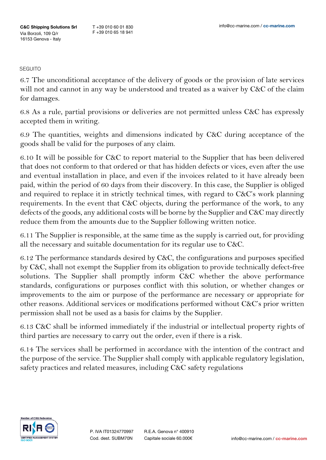6.7 The unconditional acceptance of the delivery of goods or the provision of late services will not and cannot in any way be understood and treated as a waiver by C&C of the claim for damages.

6.8 As a rule, partial provisions or deliveries are not permitted unless C&C has expressly accepted them in writing.

6.9 The quantities, weights and dimensions indicated by C&C during acceptance of the goods shall be valid for the purposes of any claim.

6.10 It will be possible for C&C to report material to the Supplier that has been delivered that does not conform to that ordered or that has hidden defects or vices, even after the use and eventual installation in place, and even if the invoices related to it have already been paid, within the period of 60 days from their discovery. In this case, the Supplier is obliged and required to replace it in strictly technical times, with regard to C&C's work planning requirements. In the event that C&C objects, during the performance of the work, to any defects of the goods, any additional costs will be borne by the Supplier and C&C may directly reduce them from the amounts due to the Supplier following written notice.

6.11 The Supplier is responsible, at the same time as the supply is carried out, for providing all the necessary and suitable documentation for its regular use to C&C.

6.12 The performance standards desired by C&C, the configurations and purposes specified by C&C, shall not exempt the Supplier from its obligation to provide technically defect-free solutions. The Supplier shall promptly inform C&C whether the above performance standards, configurations or purposes conflict with this solution, or whether changes or improvements to the aim or purpose of the performance are necessary or appropriate for other reasons. Additional services or modifications performed without C&C's prior written permission shall not be used as a basis for claims by the Supplier.

6.13 C&C shall be informed immediately if the industrial or intellectual property rights of third parties are necessary to carry out the order, even if there is a risk.

6.14 The services shall be performed in accordance with the intention of the contract and the purpose of the service. The Supplier shall comply with applicable regulatory legislation, safety practices and related measures, including C&C safety regulations

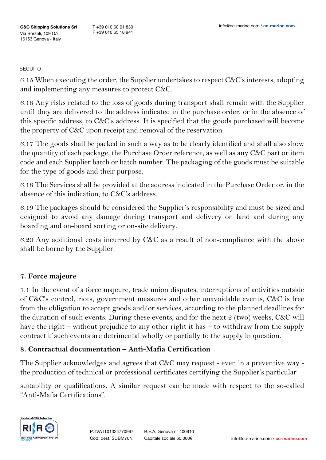6.15 When executing the order, the Supplier undertakes to respect  $C\&C's$  interests, adopting and implementing any measures to protect C&C.

6.16 Any risks related to the loss of goods during transport shall remain with the Supplier until they are delivered to the address indicated in the purchase order, or in the absence of this specific address, to C&C's address. It is specified that the goods purchased will become the property of C&C upon receipt and removal of the reservation.

6.17 The goods shall be packed in such a way as to be clearly identified and shall also show the quantity of each package, the Purchase Order reference, as well as any C&C part or item code and each Supplier batch or batch number. The packaging of the goods must be suitable for the type of goods and their purpose.

6.18 The Services shall be provided at the address indicated in the Purchase Order or, in the absence of this indication, to C&C's address.

6.19 The packages should be considered the Supplier's responsibility and must be sized and designed to avoid any damage during transport and delivery on land and during any boarding and on-board sorting or on-site delivery.

6.20 Any additional costs incurred by C&C as a result of non-compliance with the above shall be borne by the Supplier.

### **7. Force majeure**

7.1 In the event of a force majeure, trade union disputes, interruptions of activities outside of C&C's control, riots, government measures and other unavoidable events, C&C is free from the obligation to accept goods and/or services, according to the planned deadlines for the duration of such events. During these events, and for the next 2 (two) weeks, C&C will have the right – without prejudice to any other right it has – to withdraw from the supply contract if such events are detrimental wholly or partially to the supply in question.

### **8. Contractual documentation – Anti-Mafia Certification**

The Supplier acknowledges and agrees that C&C may request - even in a preventive way the production of technical or professional certificates certifying the Supplier's particular

suitability or qualifications. A similar request can be made with respect to the so-called "Anti-Mafia Certifications".

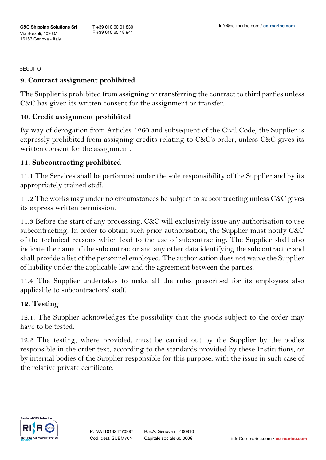## **9. Contract assignment prohibited**

The Supplier is prohibited from assigning or transferring the contract to third parties unless C&C has given its written consent for the assignment or transfer.

### **10. Credit assignment prohibited**

By way of derogation from Articles 1260 and subsequent of the Civil Code, the Supplier is expressly prohibited from assigning credits relating to C&C's order, unless C&C gives its written consent for the assignment.

## **11. Subcontracting prohibited**

11.1 The Services shall be performed under the sole responsibility of the Supplier and by its appropriately trained staff.

11.2 The works may under no circumstances be subject to subcontracting unless C&C gives its express written permission.

11.3 Before the start of any processing, C&C will exclusively issue any authorisation to use subcontracting. In order to obtain such prior authorisation, the Supplier must notify C&C of the technical reasons which lead to the use of subcontracting. The Supplier shall also indicate the name of the subcontractor and any other data identifying the subcontractor and shall provide a list of the personnel employed. The authorisation does not waive the Supplier of liability under the applicable law and the agreement between the parties.

11.4 The Supplier undertakes to make all the rules prescribed for its employees also applicable to subcontractors' staff.

### **12. Testing**

12.1. The Supplier acknowledges the possibility that the goods subject to the order may have to be tested.

12.2 The testing, where provided, must be carried out by the Supplier by the bodies responsible in the order text, according to the standards provided by these Institutions, or by internal bodies of the Supplier responsible for this purpose, with the issue in such case of the relative private certificate.

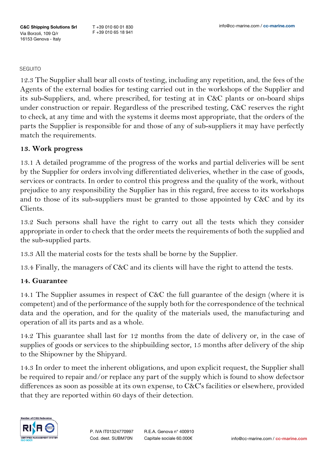T +39 010 60 01 830 F +39 010 65 18 941

#### **SEGUITO**

12.3 The Supplier shall bear all costs of testing, including any repetition, and, the fees of the Agents of the external bodies for testing carried out in the workshops of the Supplier and its sub-Suppliers, and, where prescribed, for testing at in  $C&C$  plants or on-board ships under construction or repair. Regardless of the prescribed testing, C&C reserves the right to check, at any time and with the systems it deems most appropriate, that the orders of the parts the Supplier is responsible for and those of any of sub-suppliers it may have perfectly match the requirements.

### **13. Work progress**

13.1 A detailed programme of the progress of the works and partial deliveries will be sent by the Supplier for orders involving differentiated deliveries, whether in the case of goods, services or contracts. In order to control this progress and the quality of the work, without prejudice to any responsibility the Supplier has in this regard, free access to its workshops and to those of its sub-suppliers must be granted to those appointed by C&C and by its Clients.

13.2 Such persons shall have the right to carry out all the tests which they consider appropriate in order to check that the order meets the requirements of both the supplied and the sub-supplied parts.

13.3 All the material costs for the tests shall be borne by the Supplier.

13.4 Finally, the managers of C&C and its clients will have the right to attend the tests.

## **14. Guarantee**

14.1 The Supplier assumes in respect of C&C the full guarantee of the design (where it is competent) and of the performance of the supply both for the correspondence of the technical data and the operation, and for the quality of the materials used, the manufacturing and operation of all its parts and as a whole.

14.2 This guarantee shall last for 12 months from the date of delivery or, in the case of supplies of goods or services to the shipbuilding sector, 15 months after delivery of the ship to the Shipowner by the Shipyard.

14.3 In order to meet the inherent obligations, and upon explicit request, the Supplier shall be required to repair and/or replace any part of the supply which is found to show defectsor differences as soon as possible at its own expense, to C&C's facilities or elsewhere, provided that they are reported within 60 days of their detection.

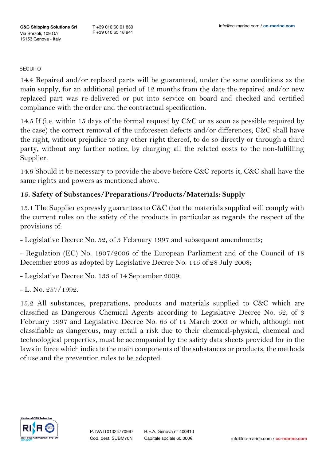14.4 Repaired and/or replaced parts will be guaranteed, under the same conditions as the main supply, for an additional period of 12 months from the date the repaired and/or new replaced part was re-delivered or put into service on board and checked and certified compliance with the order and the contractual specification.

14.5 If (i.e. within 15 days of the formal request by C&C or as soon as possible required by the case) the correct removal of the unforeseen defects and/or differences, C&C shall have the right, without prejudice to any other right thereof, to do so directly or through a third party, without any further notice, by charging all the related costs to the non-fulfilling Supplier.

14.6 Should it be necessary to provide the above before C&C reports it, C&C shall have the same rights and powers as mentioned above.

## **15. Safety of Substances/Preparations/Products/Materials: Supply**

15.1 The Supplier expressly guarantees to C&C that the materials supplied will comply with the current rules on the safety of the products in particular as regards the respect of the provisions of:

- Legislative Decree No. 52, of 3 February 1997 and subsequent amendments;

- Regulation (EC) No. 1907/2006 of the European Parliament and of the Council of 18 December 2006 as adopted by Legislative Decree No. 145 of 28 July 2008;

- Legislative Decree No. 133 of 14 September 2009;

 $-L.$  No. 257/1992.

15.2 All substances, preparations, products and materials supplied to C&C which are classified as Dangerous Chemical Agents according to Legislative Decree No. 52, of 3 February 1997 and Legislative Decree No. 65 of 14 March 2003 or which, although not classifiable as dangerous, may entail a risk due to their chemical-physical, chemical and technological properties, must be accompanied by the safety data sheets provided for in the laws in force which indicate the main components of the substances or products, the methods of use and the prevention rules to be adopted.

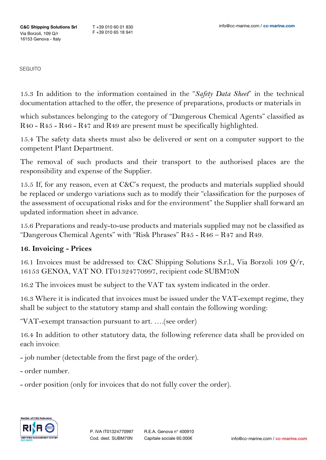15.3 In addition to the information contained in the "*Safety Data Sheet*" in the technical documentation attached to the offer, the presence of preparations, products or materials in

which substances belonging to the category of "Dangerous Chemical Agents" classified as R40 - R45 - R46 - R47 and R49 are present must be specifically highlighted.

15.4 The safety data sheets must also be delivered or sent on a computer support to the competent Plant Department.

The removal of such products and their transport to the authorised places are the responsibility and expense of the Supplier.

15.5 If, for any reason, even at C&C's request, the products and materials supplied should be replaced or undergo variations such as to modify their "classification for the purposes of the assessment of occupational risks and for the environment" the Supplier shall forward an updated information sheet in advance.

15.6 Preparations and ready-to-use products and materials supplied may not be classified as "Dangerous Chemical Agents" with "Risk Phrases" R45 - R46 – R47 and R49.

## **16. Invoicing - Prices**

16.1 Invoices must be addressed to: C&C Shipping Solutions S.r.l., Via Borzoli 109 Q/r, 16153 GENOA, VAT NO. IT01324770997, recipient code SUBM70N

16.2 The invoices must be subject to the VAT tax system indicated in the order.

16.3 Where it is indicated that invoices must be issued under the VAT-exempt regime, they shall be subject to the statutory stamp and shall contain the following wording:

"VAT-exempt transaction pursuant to art. ….(see order)

16.4 In addition to other statutory data, the following reference data shall be provided on each invoice:

- job number (detectable from the first page of the order).

- order number.

- order position (only for invoices that do not fully cover the order).

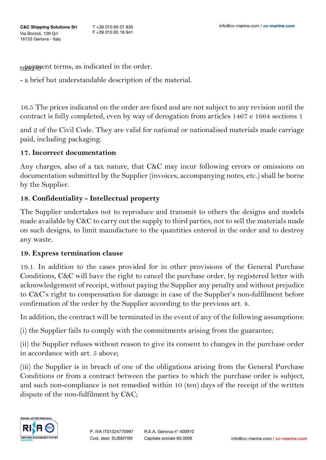$\mathsf{S}\mathsf{H}\mathsf{H}\mathsf{H}\mathsf{H}$  are indicated in the order.

- a brief but understandable description of the material.

16.5 The prices indicated on the order are fixed and are not subject to any revision until the contract is fully completed, even by way of derogation from articles 1467 e 1664 sections 1

and 2 of the Civil Code. They are valid for national or nationalised materials made carriage paid, including packaging.

### **17. Incorrect documentation**

Any charges, also of a tax nature, that C&C may incur following errors or omissions on documentation submitted by the Supplier (invoices, accompanying notes, etc.) shall be borne by the Supplier.

## **18. Confidentiality - Intellectual property**

The Supplier undertakes not to reproduce and transmit to others the designs and models made available by C&C to carry out the supply to third parties, not to sell the materials made on such designs, to limit manufacture to the quantities entered in the order and to destroy any waste.

## **19. Express termination clause**

19.1. In addition to the cases provided for in other provisions of the General Purchase Conditions, C&C will have the right to cancel the purchase order, by registered letter with acknowledgement of receipt, without paying the Supplier any penalty and without prejudice to C&C's right to compensation for damage in case of the Supplier's non-fulfilment before confirmation of the order by the Supplier according to the previous art. 4.

In addition, the contract will be terminated in the event of any of the following assumptions:

(i) the Supplier fails to comply with the commitments arising from the guarantee;

(ii) the Supplier refuses without reason to give its consent to changes in the purchase order in accordance with art. 5 above;

(iii) the Supplier is in breach of one of the obligations arising from the General Purchase Conditions or from a contract between the parties to which the purchase order is subject, and such non-compliance is not remedied within 10 (ten) days of the receipt of the written dispute of the non-fulfilment by C&C;

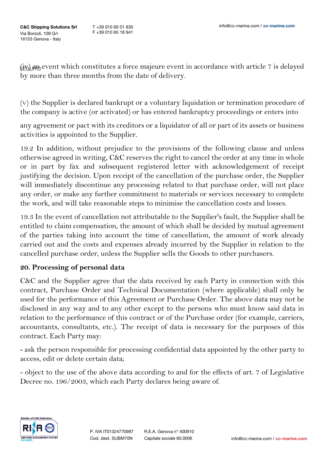$\langle$ it) and event which constitutes a force majeure event in accordance with article 7 is delayed by more than three months from the date of delivery.

(v) the Supplier is declared bankrupt or a voluntary liquidation or termination procedure of the company is active (or activated) or has entered bankruptcy proceedings or enters into

any agreement or pact with its creditors or a liquidator of all or part of its assets or business activities is appointed to the Supplier.

19.2 In addition, without prejudice to the provisions of the following clause and unless otherwise agreed in writing, C&C reserves the right to cancel the order at any time in whole or in part by fax and subsequent registered letter with acknowledgement of receipt justifying the decision. Upon receipt of the cancellation of the purchase order, the Supplier will immediately discontinue any processing related to that purchase order, will not place any order, or make any further commitment to materials or services necessary to complete the work, and will take reasonable steps to minimise the cancellation costs and losses.

19.3 In the event of cancellation not attributable to the Supplier's fault, the Supplier shall be entitled to claim compensation, the amount of which shall be decided by mutual agreement of the parties taking into account the time of cancellation, the amount of work already carried out and the costs and expenses already incurred by the Supplier in relation to the cancelled purchase order, unless the Supplier sells the Goods to other purchasers.

## **20. Processing of personal data**

C&C and the Supplier agree that the data received by each Party in connection with this contract, Purchase Order and Technical Documentation (where applicable) shall only be used for the performance of this Agreement or Purchase Order. The above data may not be disclosed in any way and to any other except to the persons who must know said data in relation to the performance of this contract or of the Purchase order (for example, carriers, accountants, consultants, etc.). The receipt of data is necessary for the purposes of this contract. Each Party may:

- ask the person responsible for processing confidential data appointed by the other party to access, edit or delete certain data;

- object to the use of the above data according to and for the effects of art. 7 of Legislative Decree no. 196/2003, which each Party declares being aware of.

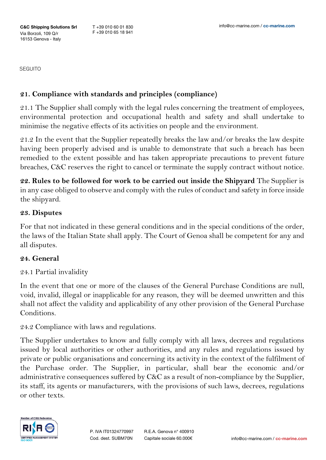## **21. Compliance with standards and principles (compliance)**

21.1 The Supplier shall comply with the legal rules concerning the treatment of employees, environmental protection and occupational health and safety and shall undertake to minimise the negative effects of its activities on people and the environment.

21.2 In the event that the Supplier repeatedly breaks the law and/or breaks the law despite having been properly advised and is unable to demonstrate that such a breach has been remedied to the extent possible and has taken appropriate precautions to prevent future breaches, C&C reserves the right to cancel or terminate the supply contract without notice.

**22. Rules to be followed for work to be carried out inside the Shipyard** The Supplier is in any case obliged to observe and comply with the rules of conduct and safety in force inside the shipyard.

#### **23. Disputes**

For that not indicated in these general conditions and in the special conditions of the order, the laws of the Italian State shall apply. The Court of Genoa shall be competent for any and all disputes.

### **24. General**

24.1 Partial invalidity

In the event that one or more of the clauses of the General Purchase Conditions are null, void, invalid, illegal or inapplicable for any reason, they will be deemed unwritten and this shall not affect the validity and applicability of any other provision of the General Purchase Conditions.

24.2 Compliance with laws and regulations.

The Supplier undertakes to know and fully comply with all laws, decrees and regulations issued by local authorities or other authorities, and any rules and regulations issued by private or public organisations and concerning its activity in the context of the fulfilment of the Purchase order. The Supplier, in particular, shall bear the economic and/or administrative consequences suffered by C&C as a result of non-compliance by the Supplier, its staff, its agents or manufacturers, with the provisions of such laws, decrees, regulations or other texts.



R.E.A. Genova n° 400910